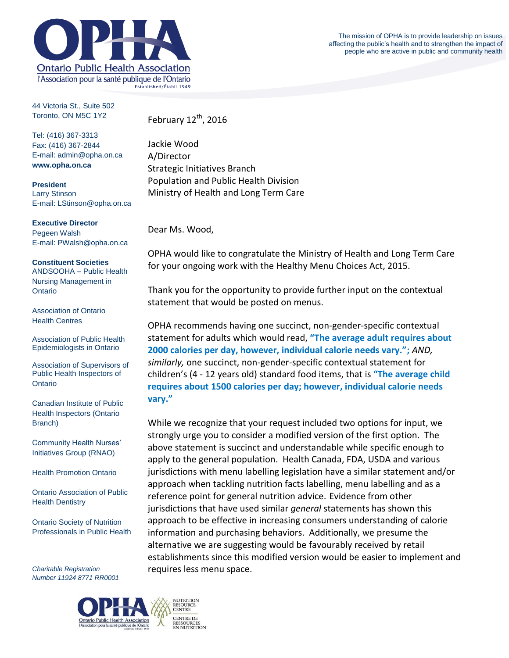

44 Victoria St., Suite 502 Toronto, ON M5C 1Y2

Tel: (416) 367-3313 Fax: (416) 367-2844 E-mail: admin@opha.on.ca **www.opha.on.ca**

**President** Larry Stinson E-mail: LStinson@opha.on.ca

**Executive Director** Pegeen Walsh E-mail: PWalsh@opha.on.ca

**Constituent Societies** ANDSOOHA – Public Health Nursing Management in **Ontario** 

Association of Ontario Health Centres

Association of Public Health Epidemiologists in Ontario

Association of Supervisors of Public Health Inspectors of **Ontario** 

Canadian Institute of Public Health Inspectors (Ontario Branch)

Community Health Nurses' Initiatives Group (RNAO)

Health Promotion Ontario

Ontario Association of Public Health Dentistry

Ontario Society of Nutrition Professionals in Public Health

*Charitable Registration Number 11924 8771 RR0001* February  $12^{th}$ , 2016

Jackie Wood A/Director Strategic Initiatives Branch Population and Public Health Division Ministry of Health and Long Term Care

Dear Ms. Wood,

OPHA would like to congratulate the Ministry of Health and Long Term Care for your ongoing work with the Healthy Menu Choices Act, 2015.

Thank you for the opportunity to provide further input on the contextual statement that would be posted on menus.

OPHA recommends having one succinct, non-gender-specific contextual statement for adults which would read, **"The average adult requires about 2000 calories per day, however, individual calorie needs vary.";** *AND, similarly,* one succinct, non-gender-specific contextual statement for children's (4 - 12 years old) standard food items, that is **"The average child requires about 1500 calories per day; however, individual calorie needs vary."**

While we recognize that your request included two options for input, we strongly urge you to consider a modified version of the first option. The above statement is succinct and understandable while specific enough to apply to the general population. Health Canada, FDA, USDA and various jurisdictions with menu labelling legislation have a similar statement and/or approach when tackling nutrition facts labelling, menu labelling and as a reference point for general nutrition advice. Evidence from other jurisdictions that have used similar *general* statements has shown this approach to be effective in increasing consumers understanding of calorie information and purchasing behaviors. Additionally, we presume the alternative we are suggesting would be favourably received by retail establishments since this modified version would be easier to implement and requires less menu space.

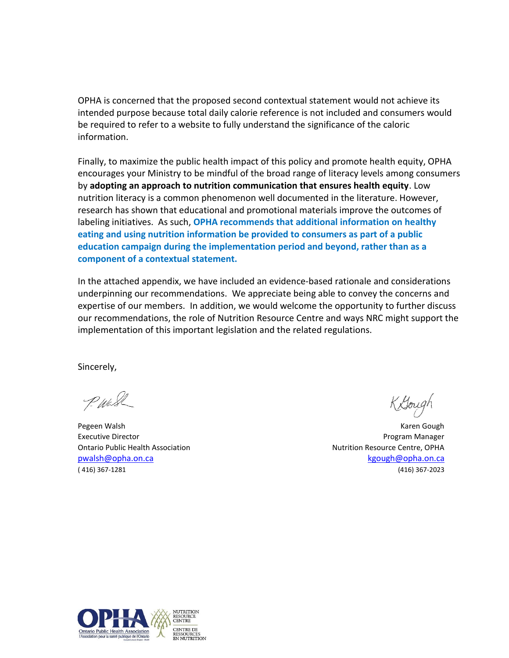OPHA is concerned that the proposed second contextual statement would not achieve its intended purpose because total daily calorie reference is not included and consumers would be required to refer to a website to fully understand the significance of the caloric information.

Finally, to maximize the public health impact of this policy and promote health equity, OPHA encourages your Ministry to be mindful of the broad range of literacy levels among consumers by **adopting an approach to nutrition communication that ensures health equity**. Low nutrition literacy is a common phenomenon well documented in the literature. However, research has shown that educational and promotional materials improve the outcomes of labeling initiatives. As such, **OPHA recommends that additional information on healthy eating and using nutrition information be provided to consumers as part of a public education campaign during the implementation period and beyond, rather than as a component of a contextual statement.**

In the attached appendix, we have included an evidence-based rationale and considerations underpinning our recommendations. We appreciate being able to convey the concerns and expertise of our members. In addition, we would welcome the opportunity to further discuss our recommendations, the role of Nutrition Resource Centre and ways NRC might support the implementation of this important legislation and the related regulations.

Sincerely,

P. Wash

KGough

Pegeen Walsh Karen Gough Karen Gough Karen Gough Karen Gough Karen Gough Karen Gough Karen Gough Karen Gough Karen Gough Karen Gough Karen Gough Karen Gough Karen Gough Karen Gough Karen Gough Karen Gough Karen Gough Karen Executive Director Program Manager Ontario Public Health Association Nutrition Resource Centre, OPHA [pwalsh@opha.on.ca](mailto:pwalsh@opha.on.ca) [kgough@opha.on.ca](mailto:kgough@opha.on.ca) kgough@opha.on.ca kgough@opha.on.ca kgough@opha.on.ca ( 416) 367-1281 (416) 367-2023

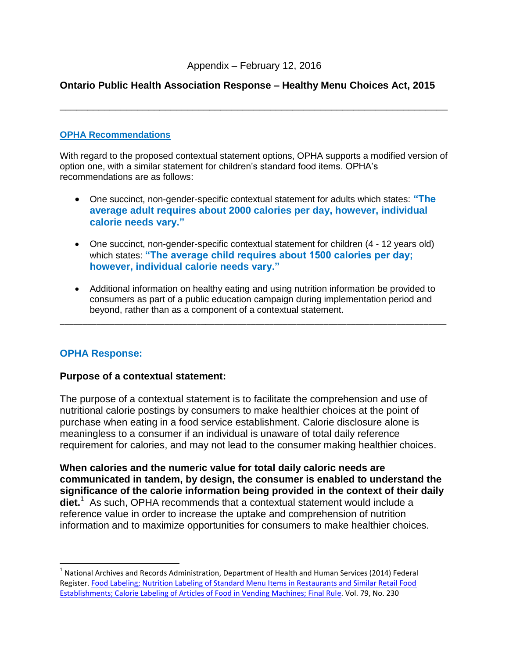# **Ontario Public Health Association Response – Healthy Menu Choices Act, 2015**

\_\_\_\_\_\_\_\_\_\_\_\_\_\_\_\_\_\_\_\_\_\_\_\_\_\_\_\_\_\_\_\_\_\_\_\_\_\_\_\_\_\_\_\_\_\_\_\_\_\_\_\_\_\_\_\_\_\_\_\_\_\_\_\_\_\_\_\_\_\_

#### **OPHA Recommendations**

With regard to the proposed contextual statement options, OPHA supports a modified version of option one, with a similar statement for children's standard food items. OPHA's recommendations are as follows:

- One succinct, non-gender-specific contextual statement for adults which states: **"The average adult requires about 2000 calories per day, however, individual calorie needs vary."**
- One succinct, non-gender-specific contextual statement for children (4 12 years old) which states: **"The average child requires about 1500 calories per day; however, individual calorie needs vary."**
- Additional information on healthy eating and using nutrition information be provided to consumers as part of a public education campaign during implementation period and beyond, rather than as a component of a contextual statement.

\_\_\_\_\_\_\_\_\_\_\_\_\_\_\_\_\_\_\_\_\_\_\_\_\_\_\_\_\_\_\_\_\_\_\_\_\_\_\_\_\_\_\_\_\_\_\_\_\_\_\_\_\_\_\_\_\_\_\_\_\_\_\_\_\_\_\_\_\_\_\_\_\_\_\_\_\_\_\_\_\_\_\_\_\_

### **OPHA Response:**

 $\overline{\phantom{a}}$ 

#### **Purpose of a contextual statement:**

The purpose of a contextual statement is to facilitate the comprehension and use of nutritional calorie postings by consumers to make healthier choices at the point of purchase when eating in a food service establishment. Calorie disclosure alone is meaningless to a consumer if an individual is unaware of total daily reference requirement for calories, and may not lead to the consumer making healthier choices.

**When calories and the numeric value for total daily caloric needs are communicated in tandem, by design, the consumer is enabled to understand the significance of the calorie information being provided in the context of their daily diet.** <sup>1</sup> As such, OPHA recommends that a contextual statement would include a reference value in order to increase the uptake and comprehension of nutrition information and to maximize opportunities for consumers to make healthier choices.

 $<sup>1</sup>$  National Archives and Records Administration, Department of Health and Human Services (2014) Federal</sup> Register. [Food Labeling; Nutrition Labeling of Standard Menu Items in Restaurants and Similar Retail Food](https://www.gpo.gov/fdsys/pkg/FR-2014-12-01/pdf/2014-27833.pdf)  [Establishments; Calorie Labeling of Articles of Food in Vending Machines; Final Rule.](https://www.gpo.gov/fdsys/pkg/FR-2014-12-01/pdf/2014-27833.pdf) Vol. 79, No. 230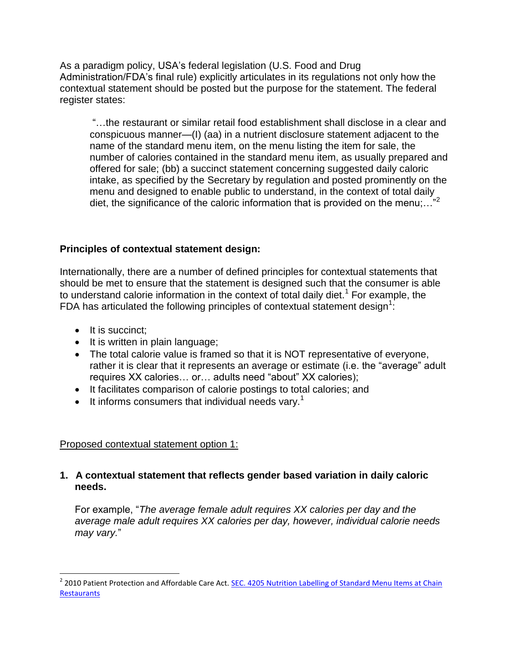As a paradigm policy, USA's federal legislation (U.S. Food and Drug Administration/FDA's final rule) explicitly articulates in its regulations not only how the contextual statement should be posted but the purpose for the statement. The federal register states:

"…the restaurant or similar retail food establishment shall disclose in a clear and conspicuous manner—(I) (aa) in a nutrient disclosure statement adjacent to the name of the standard menu item, on the menu listing the item for sale, the number of calories contained in the standard menu item, as usually prepared and offered for sale; (bb) a succinct statement concerning suggested daily caloric intake, as specified by the Secretary by regulation and posted prominently on the menu and designed to enable public to understand, in the context of total daily diet, the significance of the caloric information that is provided on the menu;..."<sup>2</sup>

# **Principles of contextual statement design:**

Internationally, there are a number of defined principles for contextual statements that should be met to ensure that the statement is designed such that the consumer is able to understand calorie information in the context of total daily diet.<sup>1</sup> For example, the FDA has articulated the following principles of contextual statement design<sup>1</sup>:

 $\bullet$  It is succinct;

l

- It is written in plain language;
- The total calorie value is framed so that it is NOT representative of everyone, rather it is clear that it represents an average or estimate (i.e. the "average" adult requires XX calories… or… adults need "about" XX calories);
- It facilitates comparison of calorie postings to total calories; and
- It informs consumers that individual needs vary.<sup>1</sup>

### Proposed contextual statement option 1:

# **1. A contextual statement that reflects gender based variation in daily caloric needs.**

For example, "*The average female adult requires XX calories per day and the average male adult requires XX calories per day, however, individual calorie needs may vary.*"

<sup>&</sup>lt;sup>2</sup> 2010 Patient Protection and Affordable Care Act. SEC. 4205 Nutrition Labelling of Standard Menu Items at Chain **[Restaurants](https://cspinet.org/new/pdf/menulabelingbill.pdf)**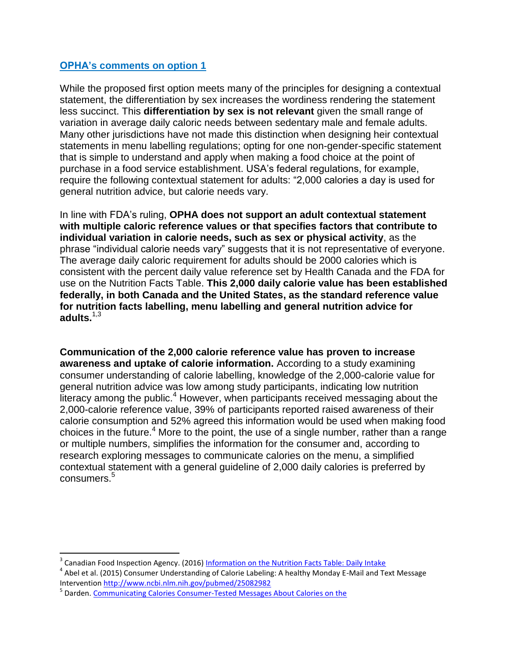# **OPHA's comments on option 1**

While the proposed first option meets many of the principles for designing a contextual statement, the differentiation by sex increases the wordiness rendering the statement less succinct. This **differentiation by sex is not relevant** given the small range of variation in average daily caloric needs between sedentary male and female adults. Many other jurisdictions have not made this distinction when designing heir contextual statements in menu labelling regulations; opting for one non-gender-specific statement that is simple to understand and apply when making a food choice at the point of purchase in a food service establishment. USA's federal regulations, for example, require the following contextual statement for adults: "2,000 calories a day is used for general nutrition advice, but calorie needs vary.

In line with FDA's ruling, **OPHA does not support an adult contextual statement with multiple caloric reference values or that specifies factors that contribute to individual variation in calorie needs, such as sex or physical activity**, as the phrase "individual calorie needs vary" suggests that it is not representative of everyone. The average daily caloric requirement for adults should be 2000 calories which is consistent with the percent daily value reference set by Health Canada and the FDA for use on the Nutrition Facts Table. **This 2,000 daily calorie value has been established federally, in both Canada and the United States, as the standard reference value for nutrition facts labelling, menu labelling and general nutrition advice for**  adults. $1,3$ 

**Communication of the 2,000 calorie reference value has proven to increase awareness and uptake of calorie information.** According to a study examining consumer understanding of calorie labelling, knowledge of the 2,000-calorie value for general nutrition advice was low among study participants, indicating low nutrition  $l$  literacy among the public.<sup>4</sup> However, when participants received messaging about the 2,000-calorie reference value, 39% of participants reported raised awareness of their calorie consumption and 52% agreed this information would be used when making food choices in the future.<sup>4</sup> More to the point, the use of a single number, rather than a range or multiple numbers, simplifies the information for the consumer and, according to research exploring messages to communicate calories on the menu, a simplified contextual statement with a general guideline of 2,000 daily calories is preferred by consumers.<sup>5</sup>

<sup>&</sup>lt;u>a</u><br><sup>3</sup> Canadian Food Inspection Agency. (2016) <u>Information on the Nutrition Facts Table: Daily Intake</u>

<sup>&</sup>lt;sup>4</sup> Abel et al. (2015) Consumer Understanding of Calorie Labeling: A healthy Monday E-Mail and Text Message Intervention<http://www.ncbi.nlm.nih.gov/pubmed/25082982>

<sup>&</sup>lt;sup>5</sup> Darden. [Communicating Calories Consumer-Tested Messages About Calories on the](http://www.sneb.org/documents/Menu_Labeling_communicating_%20calories.pdf)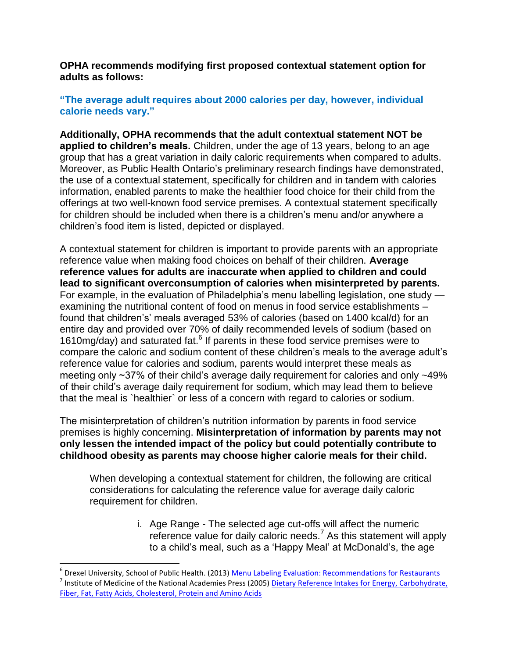**OPHA recommends modifying first proposed contextual statement option for adults as follows:**

### **"The average adult requires about 2000 calories per day, however, individual calorie needs vary."**

**Additionally, OPHA recommends that the adult contextual statement NOT be applied to children's meals.** Children, under the age of 13 years, belong to an age group that has a great variation in daily caloric requirements when compared to adults. Moreover, as Public Health Ontario's preliminary research findings have demonstrated, the use of a contextual statement, specifically for children and in tandem with calories information, enabled parents to make the healthier food choice for their child from the offerings at two well-known food service premises. A contextual statement specifically for children should be included when there is a children's menu and/or anywhere a children's food item is listed, depicted or displayed.

A contextual statement for children is important to provide parents with an appropriate reference value when making food choices on behalf of their children. **Average reference values for adults are inaccurate when applied to children and could lead to significant overconsumption of calories when misinterpreted by parents.**  For example, in the evaluation of Philadelphia's menu labelling legislation, one study examining the nutritional content of food on menus in food service establishments – found that children's' meals averaged 53% of calories (based on 1400 kcal/d) for an entire day and provided over 70% of daily recommended levels of sodium (based on 1610mg/day) and saturated fat. $6$  If parents in these food service premises were to compare the caloric and sodium content of these children's meals to the average adult's reference value for calories and sodium, parents would interpret these meals as meeting only ~37% of their child's average daily requirement for calories and only ~49% of their child's average daily requirement for sodium, which may lead them to believe that the meal is `healthier` or less of a concern with regard to calories or sodium.

The misinterpretation of children's nutrition information by parents in food service premises is highly concerning. **Misinterpretation of information by parents may not only lessen the intended impact of the policy but could potentially contribute to childhood obesity as parents may choose higher calorie meals for their child.**

When developing a contextual statement for children, the following are critical considerations for calculating the reference value for average daily caloric requirement for children.

> i. Age Range - The selected age cut-offs will affect the numeric reference value for daily caloric needs.<sup>7</sup> As this statement will apply to a child's meal, such as a 'Happy Meal' at McDonald's, the age

 $\overline{\phantom{a}}$ 

<sup>&</sup>lt;sup>6</sup> Drexel University, School of Public Health. (2013) <u>Menu Labeling Evaluation: Recommendations for Restaurants</u> <sup>7</sup> Institute of Medicine of the National Academies Press (2005) <u>Dietary Reference Intakes for Energy, Carbohydrate,</u> [Fiber, Fat, Fatty Acids, Cholesterol, Protein and Amino Acids](http://www.nap.edu/read/10490/chapter/1)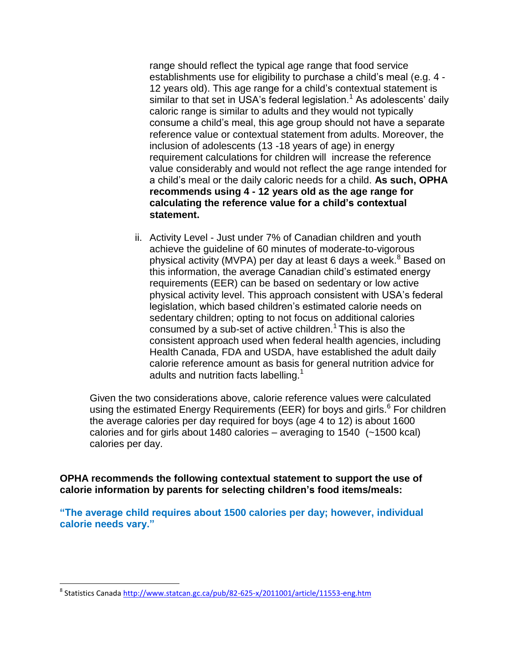range should reflect the typical age range that food service establishments use for eligibility to purchase a child's meal (e.g. 4 - 12 years old). This age range for a child's contextual statement is similar to that set in USA's federal legislation.<sup>1</sup> As adolescents' daily caloric range is similar to adults and they would not typically consume a child's meal, this age group should not have a separate reference value or contextual statement from adults. Moreover, the inclusion of adolescents (13 -18 years of age) in energy requirement calculations for children will increase the reference value considerably and would not reflect the age range intended for a child's meal or the daily caloric needs for a child. **As such, OPHA recommends using 4 - 12 years old as the age range for calculating the reference value for a child's contextual statement.**

ii. Activity Level - Just under 7% of Canadian children and youth achieve the guideline of 60 minutes of moderate-to-vigorous physical activity (MVPA) per day at least 6 days a week.<sup>8</sup> Based on this information, the average Canadian child's estimated energy requirements (EER) can be based on sedentary or low active physical activity level. This approach consistent with USA's federal legislation, which based children's estimated calorie needs on sedentary children; opting to not focus on additional calories consumed by a sub-set of active children.<sup>1</sup> This is also the consistent approach used when federal health agencies, including Health Canada, FDA and USDA, have established the adult daily calorie reference amount as basis for general nutrition advice for adults and nutrition facts labelling.<sup>1</sup>

Given the two considerations above, calorie reference values were calculated using the estimated Energy Requirements (EER) for boys and girls.<sup>6</sup> For children the average calories per day required for boys (age 4 to 12) is about 1600 calories and for girls about 1480 calories – averaging to 1540 (~1500 kcal) calories per day.

**OPHA recommends the following contextual statement to support the use of calorie information by parents for selecting children's food items/meals:** 

**"The average child requires about 1500 calories per day; however, individual calorie needs vary."**

 $\overline{\phantom{a}}$ 

<sup>&</sup>lt;sup>8</sup> Statistics Canada <u>http://www.statcan.gc.ca/pub/82-625-x/2011001/article/11553-eng.htm</u>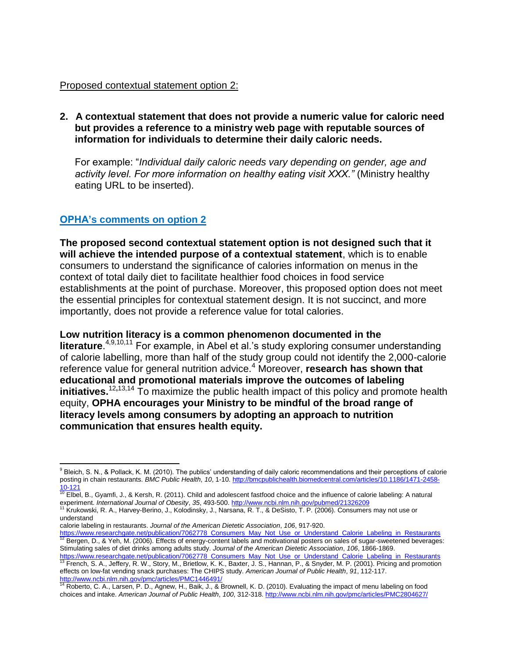### Proposed contextual statement option 2:

**2. A contextual statement that does not provide a numeric value for caloric need but provides a reference to a ministry web page with reputable sources of information for individuals to determine their daily caloric needs.** 

For example: "*Individual daily caloric needs vary depending on gender, age and activity level. For more information on healthy eating visit XXX."* (Ministry healthy eating URL to be inserted).

### **OPHA's comments on option 2**

**The proposed second contextual statement option is not designed such that it will achieve the intended purpose of a contextual statement**, which is to enable consumers to understand the significance of calories information on menus in the context of total daily diet to facilitate healthier food choices in food service establishments at the point of purchase. Moreover, this proposed option does not meet the essential principles for contextual statement design. It is not succinct, and more importantly, does not provide a reference value for total calories.

**Low nutrition literacy is a common phenomenon documented in the literature**. 4,9,10,11 For example, in Abel et al.'s study exploring consumer understanding of calorie labelling, more than half of the study group could not identify the 2,000-calorie reference value for general nutrition advice.<sup>4</sup> Moreover, **research has shown that educational and promotional materials improve the outcomes of labeling initiatives.**<sup>12</sup>**,**13,14 To maximize the public health impact of this policy and promote health equity, **OPHA encourages your Ministry to be mindful of the broad range of literacy levels among consumers by adopting an approach to nutrition communication that ensures health equity.** 

l <sup>9</sup> Bleich, S. N., & Pollack, K. M. (2010). The publics' understanding of daily caloric recommendations and their perceptions of calorie posting in chain restaurants. *BMC Public Health*, *10*, 1-10[. http://bmcpublichealth.biomedcentral.com/articles/10.1186/1471-2458-](http://bmcpublichealth.biomedcentral.com/articles/10.1186/1471-2458-10-121)

<sup>&</sup>lt;mark>[10-121](http://bmcpublichealth.biomedcentral.com/articles/10.1186/1471-2458-10-121)</mark><br><sup>10</sup> Elbel, B., Gyamfi, J., & Kersh, R. (2011). Child and adolescent fastfood choice and the influence of calorie labeling: A natural experiment. *International Journal of Obesity*, 35, 493-500. <u>http://www.ncbi.nlm.nih.gov/pubmed/21326209</u><br><sup>11</sup> Krukowski, R. A., Harvey-Berino, J., Kolodinsky, J., Narsana, R. T., & DeSisto, T. P. (2006). Consumers may no

understand

calorie labeling in restaurants. *Journal of the American Dietetic Association*, *106*, 917-920.

[https://www.researchgate.net/publication/7062778\\_Consumers\\_May\\_Not\\_Use\\_or\\_Understand\\_Calorie\\_Labeling\\_in\\_Restaurants](https://www.researchgate.net/publication/7062778_Consumers_May_Not_Use_or_Understand_Calorie_Labeling_in_Restaurants) <sup>12</sup> Bergen, D., & Yeh, M. (2006). Effects of energy-content labels and motivational posters on sales of sugar-sweetened beverages: Stimulating sales of diet drinks among adults study. *Journal of the American Dietetic Association*, *106*, 1866-1869.

[https://www.researchgate.net/publication/7062778\\_Consumers\\_May\\_Not\\_Use\\_or\\_Understand\\_Calorie\\_Labeling\\_in\\_Restaurants](https://www.researchgate.net/publication/7062778_Consumers_May_Not_Use_or_Understand_Calorie_Labeling_in_Restaurants) 13 French, S. A., Jeffery, R. W., Story, M., Brietlow, K. K., Baxter, J. S., Hannan, P., & Snyder, M. P. (2001). Pricing and promotion effects on low-fat vending snack purchases: The CHIPS study. *American Journal of Public Health*, *91*, 112-117.

<sup>&</sup>lt;u><http://www.ncbi.nlm.nih.gov/pmc/articles/PMC1446491/></u><br><sup>14</sup> Roberto, C. A., Larsen, P. D., Agnew, H., Baik, J., & Brownell, K. D. (2010). Evaluating the impact of menu labeling on food choices and intake. *American Journal of Public Health*, *100*, 312-318[. http://www.ncbi.nlm.nih.gov/pmc/articles/PMC2804627/](http://www.ncbi.nlm.nih.gov/pmc/articles/PMC2804627/)